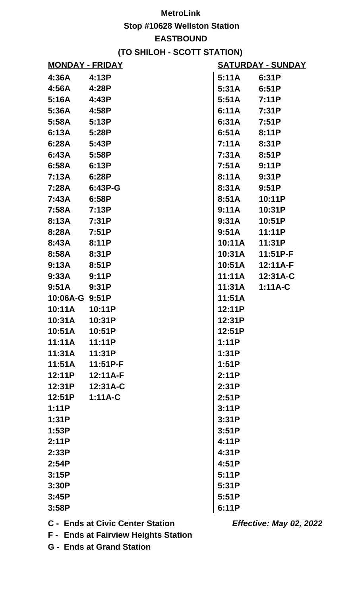## **MetroLink Stop #10628 Wellston Station EASTBOUND (TO SHILOH - SCOTT STATION)**

| <b>MONDAY - FRIDAY</b> |           | <u>SATURDAY - SUNDAY</u> |           |
|------------------------|-----------|--------------------------|-----------|
| 4:36A                  | 4:13P     | 5:11A                    | 6:31P     |
| 4:56A                  | 4:28P     | 5:31A                    | 6:51P     |
| 5:16A                  | 4:43P     | 5:51A                    | 7:11P     |
| 5:36A                  | 4:58P     | 6:11A                    | 7:31P     |
| 5:58A                  | 5:13P     | 6:31A                    | 7:51P     |
| 6:13A                  | 5:28P     | 6:51A                    | 8:11P     |
| 6:28A                  | 5:43P     | 7:11A                    | 8:31P     |
| 6:43A                  | 5:58P     | 7:31A                    | 8:51P     |
| 6:58A                  | 6:13P     | 7:51A                    | 9:11P     |
| 7:13A                  | 6:28P     | 8:11A                    | 9:31P     |
| 7:28A                  | 6:43P-G   | 8:31A                    | 9:51P     |
| 7:43A                  | 6:58P     | 8:51A                    | 10:11P    |
| 7:58A                  | 7:13P     | 9:11A                    | 10:31P    |
| 8:13A                  | 7:31P     | 9:31A                    | 10:51P    |
| 8:28A                  | 7:51P     | 9:51A                    | 11:11P    |
| 8:43A                  | 8:11P     | 10:11A                   | 11:31P    |
| 8:58A                  | 8:31P     | 10:31A                   | 11:51P-F  |
| 9:13A                  | 8:51P     | 10:51A                   | 12:11A-F  |
| 9:33A                  | 9:11P     | 11:11A                   | 12:31A-C  |
| 9:51A                  | 9:31P     | 11:31A                   | $1:11A-C$ |
| 10:06A-G 9:51P         |           | 11:51A                   |           |
| 10:11A                 | 10:11P    | 12:11P                   |           |
| 10:31A                 | 10:31P    | 12:31P                   |           |
| 10:51A                 | 10:51P    | 12:51P                   |           |
| 11:11A                 | 11:11P    | 1:11P                    |           |
| 11:31A                 | 11:31P    | 1:31P                    |           |
| 11:51A                 | 11:51P-F  | 1:51P                    |           |
| 12:11P                 | 12:11A-F  | 2:11P                    |           |
| 12:31P                 | 12:31A-C  | 2:31P                    |           |
| 12:51P                 | $1:11A-C$ | 2:51P                    |           |
| 1:11P                  |           | 3:11P                    |           |
| 1:31P                  |           | 3:31P                    |           |
| 1:53P                  |           | 3:51P                    |           |
| 2:11P                  |           | 4:11P                    |           |
| 2:33P                  |           | 4:31P                    |           |
| 2:54P                  |           | 4:51P                    |           |
| 3:15P                  |           | 5:11P                    |           |
| 3:30P                  |           | 5:31P                    |           |
| 3:45P                  |           | 5:51P                    |           |
| 3:58P                  |           | 6:11P                    |           |

**C - Ends at Civic Center Station**

**Effective: May 02, 2022**

**F - Ends at Fairview Heights Station**

**G - Ends at Grand Station**